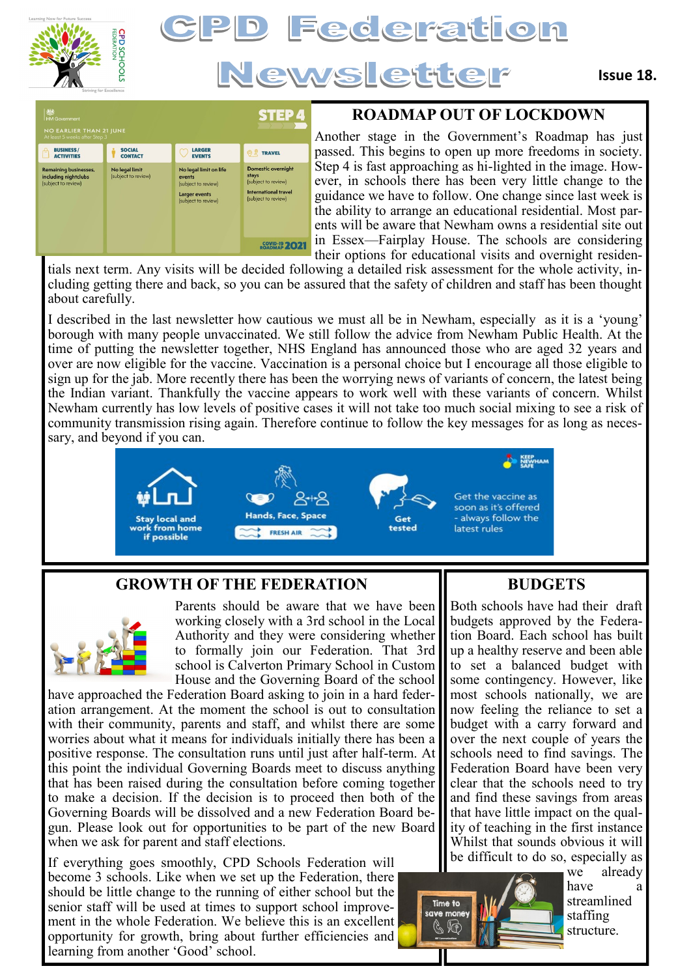

# Federation Newsletter

| 燃<br><b>HM Government</b><br><b>NO EARLIER THAN 21 JUNE</b><br>At least 5 weeks after Step 3 |                                       |                                                                                                        | <b>STEP4</b>                                                                                                    |
|----------------------------------------------------------------------------------------------|---------------------------------------|--------------------------------------------------------------------------------------------------------|-----------------------------------------------------------------------------------------------------------------|
| <b>BUSINESS/</b><br>۾<br><b>ACTIVITIES</b>                                                   | <b>SOCIAL</b><br><b>CONTACT</b>       | <b>LARGER</b><br><b>EVENTS</b>                                                                         | <b>TRAVEL</b><br>$\circledcirc$ 2                                                                               |
| <b>Remaining businesses,</b><br>including nightclubs<br>(subject to review)                  | No legal limit<br>(subject to review) | No legal limit on life<br>events<br>(subject to review)<br><b>Larger events</b><br>(subject to review) | <b>Domestic overnight</b><br>stays<br>(subject to review)<br><b>International travel</b><br>(subject to review) |
|                                                                                              |                                       |                                                                                                        | <b>COVID-19 202</b>                                                                                             |

### **ROADMAP OUT OF LOCKDOWN**

Another stage in the Government's Roadmap has just passed. This begins to open up more freedoms in society. Step 4 is fast approaching as hi-lighted in the image. However, in schools there has been very little change to the guidance we have to follow. One change since last week is the ability to arrange an educational residential. Most parents will be aware that Newham owns a residential site out in Essex—Fairplay House. The schools are considering their options for educational visits and overnight residen-

tials next term. Any visits will be decided following a detailed risk assessment for the whole activity, including getting there and back, so you can be assured that the safety of children and staff has been thought about carefully.

I described in the last newsletter how cautious we must all be in Newham, especially as it is a 'young' borough with many people unvaccinated. We still follow the advice from Newham Public Health. At the time of putting the newsletter together, NHS England has announced those who are aged 32 years and over are now eligible for the vaccine. Vaccination is a personal choice but I encourage all those eligible to sign up for the jab. More recently there has been the worrying news of variants of concern, the latest being the Indian variant. Thankfully the vaccine appears to work well with these variants of concern. Whilst Newham currently has low levels of positive cases it will not take too much social mixing to see a risk of community transmission rising again. Therefore continue to follow the key messages for as long as necessary, and beyond if you can.



#### **GROWTH OF THE FEDERATION**



Parents should be aware that we have been working closely with a 3rd school in the Local Authority and they were considering whether to formally join our Federation. That 3rd school is Calverton Primary School in Custom House and the Governing Board of the school

have approached the Federation Board asking to join in a hard federation arrangement. At the moment the school is out to consultation with their community, parents and staff, and whilst there are some worries about what it means for individuals initially there has been a positive response. The consultation runs until just after half-term. At this point the individual Governing Boards meet to discuss anything that has been raised during the consultation before coming together to make a decision. If the decision is to proceed then both of the Governing Boards will be dissolved and a new Federation Board begun. Please look out for opportunities to be part of the new Board when we ask for parent and staff elections.

If everything goes smoothly, CPD Schools Federation will become 3 schools. Like when we set up the Federation, there should be little change to the running of either school but the senior staff will be used at times to support school improvement in the whole Federation. We believe this is an excellent opportunity for growth, bring about further efficiencies and learning from another 'Good' school.

#### **BUDGETS**

Both schools have had their draft budgets approved by the Federation Board. Each school has built up a healthy reserve and been able to set a balanced budget with some contingency. However, like most schools nationally, we are now feeling the reliance to set a budget with a carry forward and over the next couple of years the schools need to find savings. The Federation Board have been very clear that the schools need to try and find these savings from areas that have little impact on the quality of teaching in the first instance Whilst that sounds obvious it will be difficult to do so, especially as



we already have streamlined staffing structure.